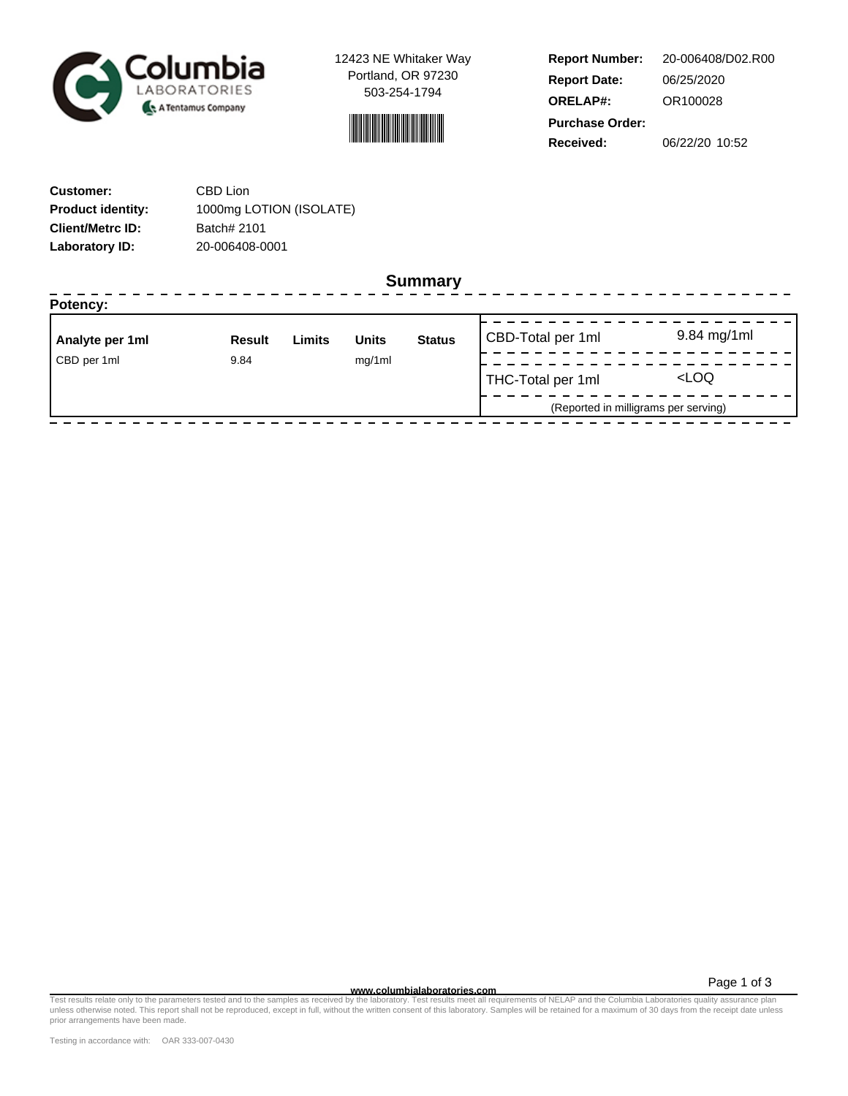

12423 NE Whitaker Way Portland, OR 97230 503-254-1794



**Report Number: Report Date: ORELAP#:** 06/25/2020 OR100028 **Received:** 06/22/20 10:52 **Purchase Order:** 20-006408/D02.R00

| <b>Customer:</b>         | CBD Lion                |
|--------------------------|-------------------------|
| <b>Product identity:</b> | 1000mg LOTION (ISOLATE) |
| <b>Client/Metrc ID:</b>  | Batch# 2101             |
| Laboratory ID:           | 20-006408-0001          |

**Summary**

| Potency:            |               |        |              |                                      |                   |                     |
|---------------------|---------------|--------|--------------|--------------------------------------|-------------------|---------------------|
| Analyte per 1ml     | <b>Result</b> | Limits | <b>Units</b> | <b>Status</b>                        | CBD-Total per 1ml | 9.84 mg/1ml         |
| CBD per 1ml<br>9.84 |               | mg/1ml |              |                                      |                   |                     |
|                     |               |        |              |                                      | THC-Total per 1ml | <loq< td=""></loq<> |
|                     |               |        |              | (Reported in milligrams per serving) |                   |                     |

Page 1 of 3

Test results relate only to the parameters tested and to the samples as receive**d www.columbialaboratories.com**<br>The languar mequirements of NELAP and the Columbia Laboratory of the Samples of NELAP and the Columbia Laborat prior arrangements have been made.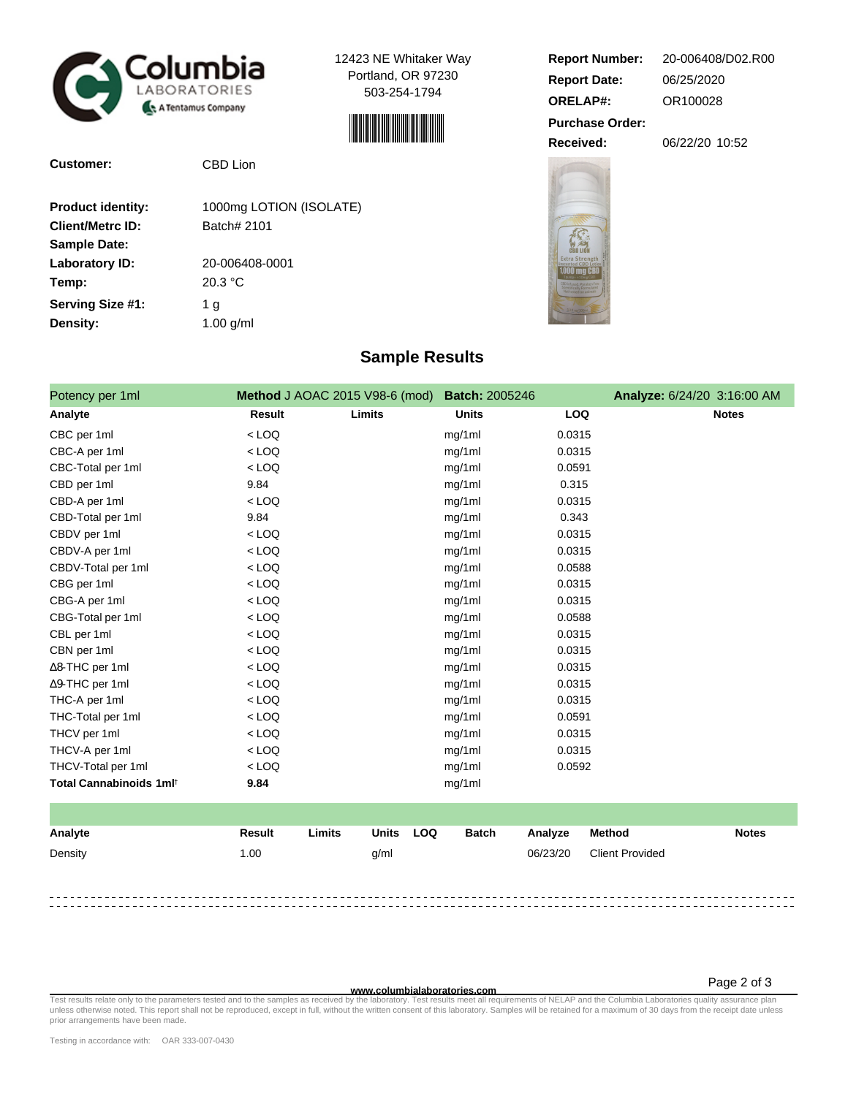

**Customer:** CBD Lion

12423 NE Whitaker Way Portland, OR 97230 503-254-1794



| <b>Product identity:</b> | 1000mg LOTION (ISOLATE) |
|--------------------------|-------------------------|
| <b>Client/Metrc ID:</b>  | Batch# 2101             |
| <b>Sample Date:</b>      |                         |
| <b>Laboratory ID:</b>    | 20-006408-0001          |
| Temp:                    | 20.3 °C                 |
| Serving Size #1:         | 1 g                     |
| Density:                 | $1.00$ g/ml             |
|                          |                         |

## **Report Number: Report Date: ORELAP#:** 06/25/2020 OR100028 **Received:** 06/22/20 10:52 **Purchase Order:** 20-006408/D02.R00





## **Sample Results**

| Potency per 1ml                     | Method J AOAC 2015 V98-6 (mod) |        | <b>Batch: 2005246</b> |            | Analyze: 6/24/20 3:16:00 AM |
|-------------------------------------|--------------------------------|--------|-----------------------|------------|-----------------------------|
| Analyte                             | Result                         | Limits | <b>Units</b>          | <b>LOQ</b> | <b>Notes</b>                |
| CBC per 1ml                         | $<$ LOQ                        |        | mg/1ml                | 0.0315     |                             |
| CBC-A per 1ml                       | $<$ LOQ                        |        | mg/1ml                | 0.0315     |                             |
| CBC-Total per 1ml                   | $<$ LOQ                        |        | mg/1ml                | 0.0591     |                             |
| CBD per 1ml                         | 9.84                           |        | mg/1ml                | 0.315      |                             |
| CBD-A per 1ml                       | $<$ LOQ                        |        | mg/1ml                | 0.0315     |                             |
| CBD-Total per 1ml                   | 9.84                           |        | mg/1ml                | 0.343      |                             |
| CBDV per 1ml                        | $<$ LOQ                        |        | mg/1ml                | 0.0315     |                             |
| CBDV-A per 1ml                      | $<$ LOQ                        |        | mg/1ml                | 0.0315     |                             |
| CBDV-Total per 1ml                  | $<$ LOQ                        |        | mg/1ml                | 0.0588     |                             |
| CBG per 1ml                         | $<$ LOQ                        |        | mg/1ml                | 0.0315     |                             |
| CBG-A per 1ml                       | $<$ LOQ                        |        | mg/1ml                | 0.0315     |                             |
| CBG-Total per 1ml                   | $<$ LOQ                        |        | mg/1ml                | 0.0588     |                             |
| CBL per 1ml                         | $<$ LOQ                        |        | mg/1ml                | 0.0315     |                             |
| CBN per 1ml                         | $<$ LOQ                        |        | mg/1ml                | 0.0315     |                             |
| $\Delta$ 8-THC per 1ml              | $<$ LOQ                        |        | mg/1ml                | 0.0315     |                             |
| ∆9-THC per 1ml                      | $<$ LOQ                        |        | mg/1ml                | 0.0315     |                             |
| THC-A per 1ml                       | $<$ LOQ                        |        | mg/1ml                | 0.0315     |                             |
| THC-Total per 1ml                   | $<$ LOQ                        |        | mg/1ml                | 0.0591     |                             |
| THCV per 1ml                        | $<$ LOQ                        |        | mg/1ml                | 0.0315     |                             |
| THCV-A per 1ml                      | $<$ LOQ                        |        | mg/1ml                | 0.0315     |                             |
| THCV-Total per 1ml                  | $<$ LOQ                        |        | mg/1ml                | 0.0592     |                             |
| Total Cannabinoids 1ml <sup>t</sup> | 9.84                           |        | mg/1ml                |            |                             |

| Analyte | Result | Limits | Units | <b>LOQ</b> | <b>Batch</b> | Analyze  | Method                 | <b>Notes</b> |
|---------|--------|--------|-------|------------|--------------|----------|------------------------|--------------|
| Density | 1.00   |        | g/ml  |            |              | 06/23/20 | <b>Client Provided</b> |              |
|         |        |        |       |            |              |          |                        |              |
|         |        |        |       |            |              |          |                        |              |

Test results relate only to the parameters tested and to the samples as receive**d www.columbialaboratories.com**<br>The languar mequirements of NELAP and the Columbia Laboratory of the Mitter consent of this laboratory. Sample prior arrangements have been made.